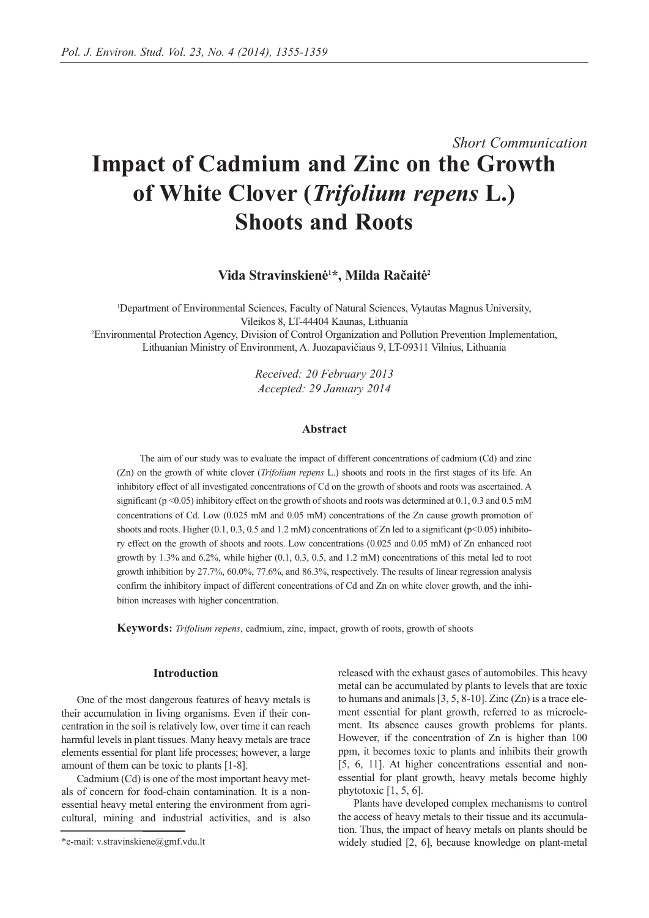# *Short Communication* **Impact of Cadmium and Zinc on the Growth of White Clover (***Trifolium repens* **L.) Shoots and Roots**

Vida Stravinskienė<sup>1\*</sup>, Milda Račaitė<sup>2</sup>

1 Department of Environmental Sciences, Faculty of Natural Sciences, Vytautas Magnus University, Vileikos 8, LT-44404 Kaunas, Lithuania

2 Environmental Protection Agency, Division of Control Organization and Pollution Prevention Implementation, Lithuanian Ministry of Environment, A. Juozapavičiaus 9, LT-09311 Vilnius, Lithuania

> *Received: 20 February 2013 Accepted: 29 January 2014*

### **Abstract**

The aim of our study was to evaluate the impact of different concentrations of cadmium (Cd) and zinc (Zn) on the growth of white clover (*Trifolium repens* L.) shoots and roots in the first stages of its life. An inhibitory effect of all investigated concentrations of Cd on the growth of shoots and roots was ascertained. A significant ( $p \le 0.05$ ) inhibitory effect on the growth of shoots and roots was determined at 0.1, 0.3 and 0.5 mM concentrations of Cd. Low (0.025 mM and 0.05 mM) concentrations of the Zn cause growth promotion of shoots and roots. Higher (0.1, 0.3, 0.5 and 1.2 mM) concentrations of Zn led to a significant ( $p$ <0.05) inhibitory effect on the growth of shoots and roots. Low concentrations (0.025 and 0.05 mM) of Zn enhanced root growth by 1.3% and 6.2%, while higher (0.1, 0.3, 0.5, and 1.2 mM) concentrations of this metal led to root growth inhibition by 27.7%, 60.0%, 77.6%, and 86.3%, respectively. The results of linear regression analysis confirm the inhibitory impact of different concentrations of Cd and Zn on white clover growth, and the inhibition increases with higher concentration.

**Keywords:** *Trifolium repens*, cadmium, zinc, impact, growth of roots, growth of shoots

#### **Introduction**

One of the most dangerous features of heavy metals is their accumulation in living organisms. Even if their concentration in the soil is relatively low, over time it can reach harmful levels in plant tissues. Many heavy metals are trace elements essential for plant life processes; however, a large amount of them can be toxic to plants [1-8].

Cadmium (Cd) is one of the most important heavy metals of concern for food-chain contamination. It is a nonessential heavy metal entering the environment from agricultural, mining and industrial activities, and is also released with the exhaust gases of automobiles. This heavy metal can be accumulated by plants to levels that are toxic to humans and animals  $[3, 5, 8-10]$ . Zinc  $(Zn)$  is a trace element essential for plant growth, referred to as microelement. Its absence causes growth problems for plants. However, if the concentration of Zn is higher than 100 ppm, it becomes toxic to plants and inhibits their growth [5, 6, 11]. At higher concentrations essential and nonessential for plant growth, heavy metals become highly phytotoxic [1, 5, 6].

Plants have developed complex mechanisms to control the access of heavy metals to their tissue and its accumulation. Thus, the impact of heavy metals on plants should be widely studied [2, 6], because knowledge on plant-metal

<sup>\*</sup>e-mail: v.stravinskiene@gmf.vdu.lt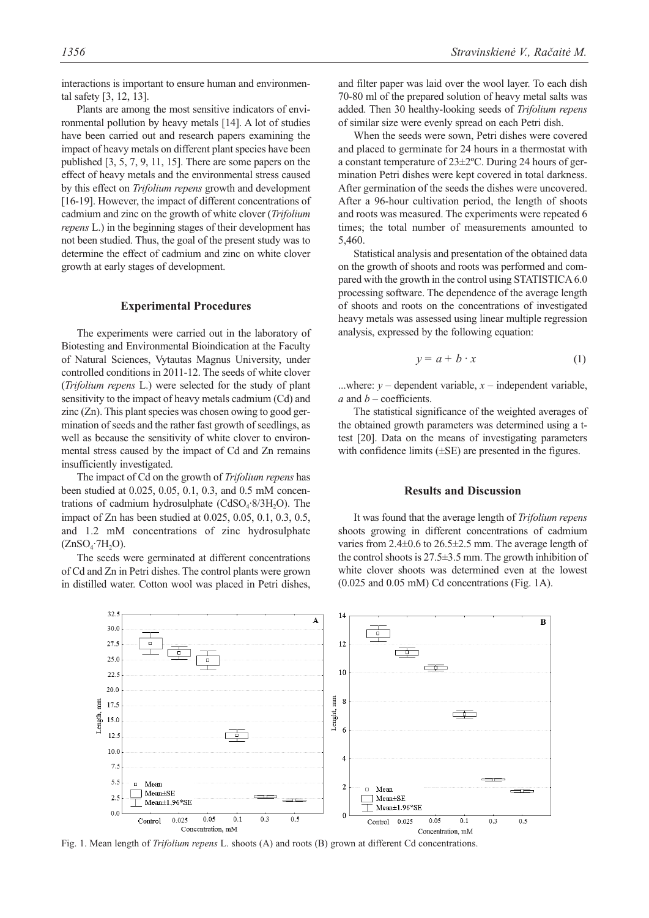tal safety [3, 12, 13]. Plants are among the most sensitive indicators of environmental pollution by heavy metals [14]. A lot of studies have been carried out and research papers examining the impact of heavy metals on different plant species have been published [3, 5, 7, 9, 11, 15]. There are some papers on the effect of heavy metals and the environmental stress caused by this effect on *Trifolium repens* growth and development [16-19]. However, the impact of different concentrations of cadmium and zinc on the growth of white clover (*Trifolium repens* L.) in the beginning stages of their development has not been studied. Thus, the goal of the present study was to determine the effect of cadmium and zinc on white clover growth at early stages of development.

## **Experimental Procedures**

The experiments were carried out in the laboratory of Biotesting and Environmental Bioindication at the Faculty of Natural Sciences, Vytautas Magnus University, under controlled conditions in 2011-12. The seeds of white clover (*Trifolium repens* L.) were selected for the study of plant sensitivity to the impact of heavy metals cadmium (Cd) and zinc (Zn). This plant species was chosen owing to good germination of seeds and the rather fast growth of seedlings, as well as because the sensitivity of white clover to environmental stress caused by the impact of Cd and Zn remains insufficiently investigated.

The impact of Cd on the growth of *Trifolium repens* has been studied at 0.025, 0.05, 0.1, 0.3, and 0.5 mM concentrations of cadmium hydrosulphate  $(CdSO<sub>4</sub>·8/3H<sub>2</sub>O)$ . The impact of Zn has been studied at 0.025, 0.05, 0.1, 0.3, 0.5, and 1.2 mM concentrations of zinc hydrosulphate  $(ZnSO<sub>4</sub>·7H<sub>2</sub>O).$ 

The seeds were germinated at different concentrations of Cd and Zn in Petri dishes. The control plants were grown in distilled water. Cotton wool was placed in Petri dishes, and filter paper was laid over the wool layer. To each dish 70-80 ml of the prepared solution of heavy metal salts was added. Then 30 healthy-looking seeds of *Trifolium repens* of similar size were evenly spread on each Petri dish.

When the seeds were sown, Petri dishes were covered and placed to germinate for 24 hours in a thermostat with a constant temperature of 23±2ºC. During 24 hours of germination Petri dishes were kept covered in total darkness. After germination of the seeds the dishes were uncovered. After a 96-hour cultivation period, the length of shoots and roots was measured. The experiments were repeated 6 times; the total number of measurements amounted to 5,460.

Statistical analysis and presentation of the obtained data on the growth of shoots and roots was performed and compared with the growth in the control using STATISTICA 6.0 processing software. The dependence of the average length of shoots and roots on the concentrations of investigated heavy metals was assessed using linear multiple regression analysis, expressed by the following equation:

$$
y = a + b \cdot x \tag{1}
$$

...where:  $y$  – dependent variable,  $x$  – independent variable, *a* and *b* – coefficients.

The statistical significance of the weighted averages of the obtained growth parameters was determined using a ttest [20]. Data on the means of investigating parameters with confidence limits  $(\pm SE)$  are presented in the figures.

## **Results and Discussion**

It was found that the average length of *Trifolium repens* shoots growing in different concentrations of cadmium varies from 2.4±0.6 to 26.5±2.5 mm. The average length of the control shoots is  $27.5\pm3.5$  mm. The growth inhibition of white clover shoots was determined even at the lowest (0.025 and 0.05 mM) Cd concentrations (Fig. 1A).



Fig. 1. Mean length of *Trifolium repens* L. shoots (A) and roots (B) grown at different Cd concentrations.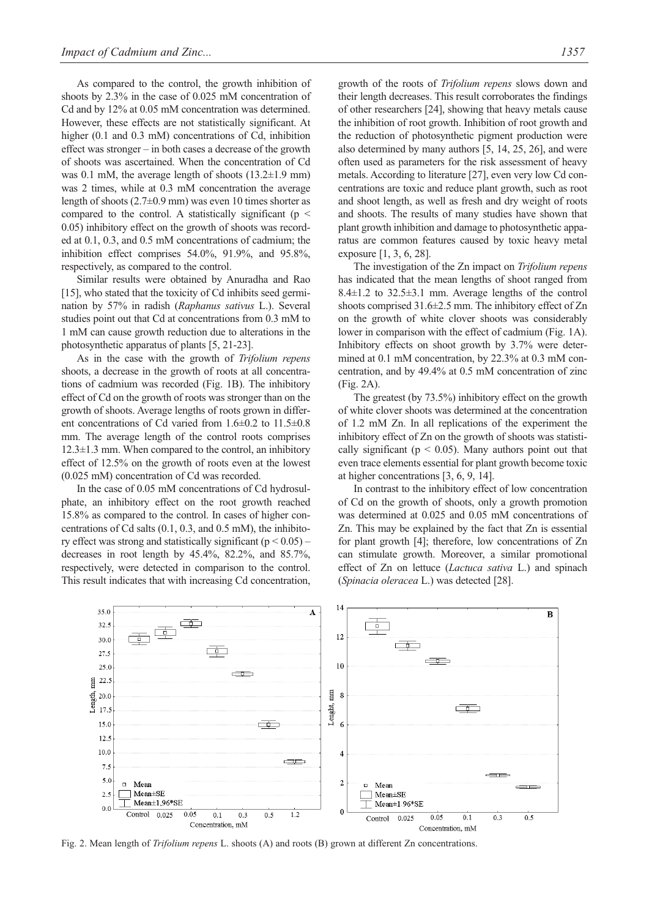As compared to the control, the growth inhibition of shoots by 2.3% in the case of 0.025 mM concentration of Cd and by 12% at 0.05 mM concentration was determined. However, these effects are not statistically significant. At higher (0.1 and 0.3 mM) concentrations of Cd, inhibition effect was stronger – in both cases a decrease of the growth of shoots was ascertained. When the concentration of Cd was 0.1 mM, the average length of shoots  $(13.2\pm1.9 \text{ mm})$ was 2 times, while at 0.3 mM concentration the average length of shoots (2.7±0.9 mm) was even 10 times shorter as compared to the control. A statistically significant ( $p \leq$ 0.05) inhibitory effect on the growth of shoots was recorded at 0.1, 0.3, and 0.5 mM concentrations of cadmium; the inhibition effect comprises 54.0%, 91.9%, and 95.8%, respectively, as compared to the control.

Similar results were obtained by Anuradha and Rao [15], who stated that the toxicity of Cd inhibits seed germination by 57% in radish (*Raphanus sativus* L.). Several studies point out that Cd at concentrations from 0.3 mM to 1 mM can cause growth reduction due to alterations in the photosynthetic apparatus of plants [5, 21-23].

As in the case with the growth of *Trifolium repens* shoots, a decrease in the growth of roots at all concentrations of cadmium was recorded (Fig. 1B). The inhibitory effect of Cd on the growth of roots was stronger than on the growth of shoots. Average lengths of roots grown in different concentrations of Cd varied from 1.6±0.2 to 11.5±0.8 mm. The average length of the control roots comprises  $12.3 \pm 1.3$  mm. When compared to the control, an inhibitory effect of 12.5% on the growth of roots even at the lowest (0.025 mM) concentration of Cd was recorded.

In the case of 0.05 mM concentrations of Cd hydrosulphate, an inhibitory effect on the root growth reached 15.8% as compared to the control. In cases of higher concentrations of Cd salts (0.1, 0.3, and 0.5 mM), the inhibitory effect was strong and statistically significant  $(p < 0.05)$  – decreases in root length by 45.4%, 82.2%, and 85.7%, respectively, were detected in comparison to the control. This result indicates that with increasing Cd concentration, growth of the roots of *Trifolium repens* slows down and their length decreases. This result corroborates the findings of other researchers [24], showing that heavy metals cause the inhibition of root growth. Inhibition of root growth and the reduction of photosynthetic pigment production were also determined by many authors [5, 14, 25, 26], and were often used as parameters for the risk assessment of heavy metals. According to literature [27], even very low Cd concentrations are toxic and reduce plant growth, such as root and shoot length, as well as fresh and dry weight of roots and shoots. The results of many studies have shown that plant growth inhibition and damage to photosynthetic apparatus are common features caused by toxic heavy metal exposure [1, 3, 6, 28].

The investigation of the Zn impact on *Trifolium repens* has indicated that the mean lengths of shoot ranged from 8.4 $\pm$ 1.2 to 32.5 $\pm$ 3.1 mm. Average lengths of the control shoots comprised 31.6 $\pm$ 2.5 mm. The inhibitory effect of Zn on the growth of white clover shoots was considerably lower in comparison with the effect of cadmium (Fig. 1A). Inhibitory effects on shoot growth by 3.7% were determined at 0.1 mM concentration, by 22.3% at 0.3 mM concentration, and by 49.4% at 0.5 mM concentration of zinc (Fig. 2A).

The greatest (by 73.5%) inhibitory effect on the growth of white clover shoots was determined at the concentration of 1.2 mM Zn. In all replications of the experiment the inhibitory effect of Zn on the growth of shoots was statistically significant ( $p < 0.05$ ). Many authors point out that even trace elements essential for plant growth become toxic at higher concentrations [3, 6, 9, 14].

In contrast to the inhibitory effect of low concentration of Cd on the growth of shoots, only a growth promotion was determined at 0.025 and 0.05 mM concentrations of Zn. This may be explained by the fact that Zn is essential for plant growth [4]; therefore, low concentrations of Zn can stimulate growth. Moreover, a similar promotional effect of Zn on lettuce (*Lactuca sativa* L.) and spinach (*Spinacia oleracea* L.) was detected [28].



Fig. 2. Mean length of *Trifolium repens* L. shoots (A) and roots (B) grown at different Zn concentrations.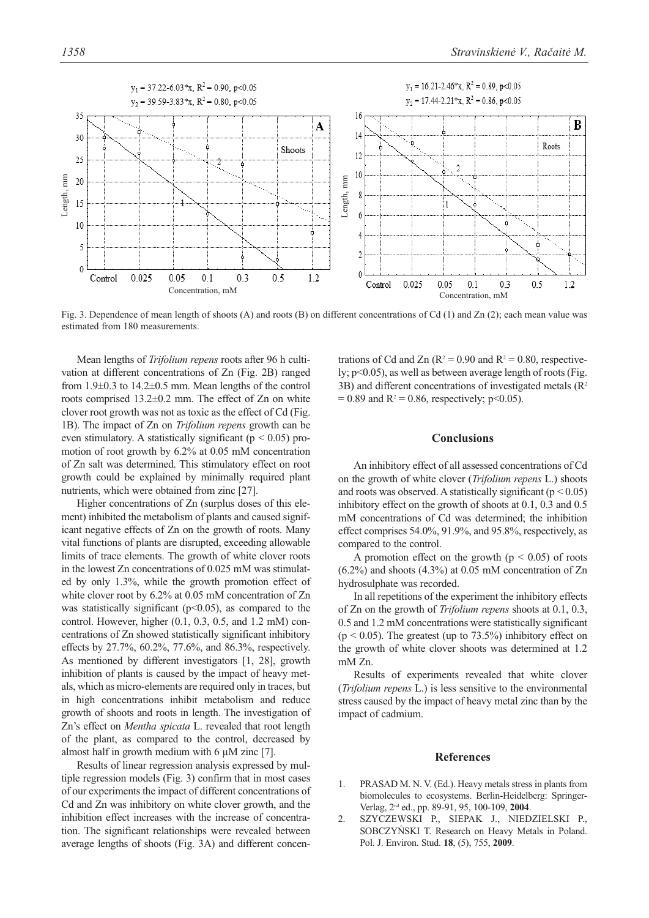

Fig. 3. Dependence of mean length of shoots (A) and roots (B) on different concentrations of Cd (1) and Zn (2); each mean value was estimated from 180 measurements.

Mean lengths of *Trifolium repens* roots after 96 h cultivation at different concentrations of Zn (Fig. 2B) ranged from 1.9±0.3 to 14.2±0.5 mm. Mean lengths of the control roots comprised 13.2±0.2 mm. The effect of Zn on white clover root growth was not as toxic as the effect of Cd (Fig. 1B). The impact of Zn on *Trifolium repens* growth can be even stimulatory. A statistically significant ( $p < 0.05$ ) promotion of root growth by 6.2% at 0.05 mM concentration of Zn salt was determined. This stimulatory effect on root growth could be explained by minimally required plant nutrients, which were obtained from zinc [27].

Higher concentrations of Zn (surplus doses of this element) inhibited the metabolism of plants and caused significant negative effects of Zn on the growth of roots. Many vital functions of plants are disrupted, exceeding allowable limits of trace elements. The growth of white clover roots in the lowest Zn concentrations of 0.025 mM was stimulated by only 1.3%, while the growth promotion effect of white clover root by 6.2% at 0.05 mM concentration of Zn was statistically significant  $(p<0.05)$ , as compared to the control. However, higher (0.1, 0.3, 0.5, and 1.2 mM) concentrations of Zn showed statistically significant inhibitory effects by 27.7%, 60.2%, 77.6%, and 86.3%, respectively. As mentioned by different investigators [1, 28], growth inhibition of plants is caused by the impact of heavy metals, which as micro-elements are required only in traces, but in high concentrations inhibit metabolism and reduce growth of shoots and roots in length. The investigation of Zn's effect on *Mentha spicata* L. revealed that root length of the plant, as compared to the control, decreased by almost half in growth medium with 6  $\mu$ M zinc [7].

Results of linear regression analysis expressed by multiple regression models (Fig. 3) confirm that in most cases of our experiments the impact of different concentrations of Cd and Zn was inhibitory on white clover growth, and the inhibition effect increases with the increase of concentration. The significant relationships were revealed between average lengths of shoots (Fig. 3A) and different concentrations of Cd and Zn ( $R^2 = 0.90$  and  $R^2 = 0.80$ , respectively; p<0.05), as well as between average length of roots (Fig. 3B) and different concentrations of investigated metals  $(R^2)$  $= 0.89$  and R<sup>2</sup> = 0.86, respectively; p<0.05).

## **Conclusions**

An inhibitory effect of all assessed concentrations of Cd on the growth of white clover (*Trifolium repens* L.) shoots and roots was observed. A statistically significant ( $p < 0.05$ ) inhibitory effect on the growth of shoots at 0.1, 0.3 and 0.5 mM concentrations of Cd was determined; the inhibition effect comprises 54.0%, 91.9%, and 95.8%, respectively, as compared to the control.

A promotion effect on the growth ( $p \le 0.05$ ) of roots  $(6.2\%)$  and shoots  $(4.3\%)$  at 0.05 mM concentration of Zn hydrosulphate was recorded.

In all repetitions of the experiment the inhibitory effects of Zn on the growth of *Trifolium repens* shoots at 0.1, 0.3, 0.5 and 1.2 mM concentrations were statistically significant  $(p < 0.05)$ . The greatest (up to 73.5%) inhibitory effect on the growth of white clover shoots was determined at 1.2 mM Zn.

Results of experiments revealed that white clover (*Trifolium repens* L.) is less sensitive to the environmental stress caused by the impact of heavy metal zinc than by the impact of cadmium.

#### **References**

- 1. PRASAD M. N. V. (Ed.). Heavy metals stress in plants from biomolecules to ecosystems. Berlin-Heidelberg: Springer-Verlag, 2nd ed., pp. 89-91, 95, 100-109, **2004**.
- 2. SZYCZEWSKI P., SIEPAK J., NIEDZIELSKI P., SOBCZYŃSKI T. Research on Heavy Metals in Poland. Pol. J. Environ. Stud. **18**, (5), 755, **2009**.